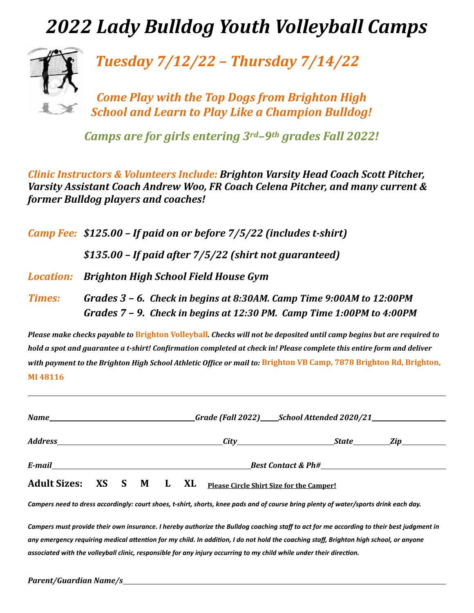## *2022 Lady Bulldog Youth Volleyball Camps*



*Tuesday 7/12/22 – Thursday 7/14/22*

*Come Play with the Top Dogs from Brighton High* **School and Learn to Play Like a Champion Bulldog!** 

*Camps are for girls entering 3rd–9th grades Fall 2022!* 

*Clinic Instructors & Volunteers Include: Brighton Varsity Head Coach Scott Pitcher, Varsity Assistant Coach Andrew Woo, FR Coach Celena Pitcher, and many current & former Bulldog players and coaches!* 

|               | <b>Camp Fee: \$125.00 - If paid on or before 7/5/22 (includes t-shirt)</b>                                                                        |  |  |  |  |  |  |
|---------------|---------------------------------------------------------------------------------------------------------------------------------------------------|--|--|--|--|--|--|
|               | $$135.00$ – If paid after $7/5/22$ (shirt not guaranteed)                                                                                         |  |  |  |  |  |  |
|               | <b>Location:</b> Brighton High School Field House Gym                                                                                             |  |  |  |  |  |  |
| <b>Times:</b> | Grades $3$ – 6. Check in begins at 8:30AM. Camp Time 9:00AM to 12:00PM<br>Grades $7$ – 9. Check in begins at 12:30 PM. Camp Time 1:00PM to 4:00PM |  |  |  |  |  |  |

*Please* make checks payable to **Brighton Volleyball**. Checks will not be deposited until camp begins but are required to *hold a spot and guarantee a t-shirt! Confirmation completed at check in! Please complete this entire form and deliver with payment to the Brighton High School Athletic Office or mail to: Brighton VB Camp, 7878 Brighton Rd, Brighton,* **MI 48116**

|  | E-mail expansion of the contract of the contract of the contract of the contract of the contract of the contract of the contract of the contract of the contract of the contract of the contract of the contract of the contra |  |  |  |                                                                   |  |  |  |  |
|--|--------------------------------------------------------------------------------------------------------------------------------------------------------------------------------------------------------------------------------|--|--|--|-------------------------------------------------------------------|--|--|--|--|
|  |                                                                                                                                                                                                                                |  |  |  | Adult Sizes: XS S M L XL Please Circle Shirt Size for the Camper! |  |  |  |  |

Campers need to dress accordingly: court shoes, t-shirt, shorts, knee pads and of course bring plenty of water/sports drink each day.

Campers must provide their own insurance. I hereby authorize the Bulldog coaching staff to act for me according to their best judgment in any emergency requiring medical attention for my child. In addition, I do not hold the coaching staff, Brighton high school, or anyone associated with the volleyball clinic, responsible for any injury occurring to my child while under their direction.